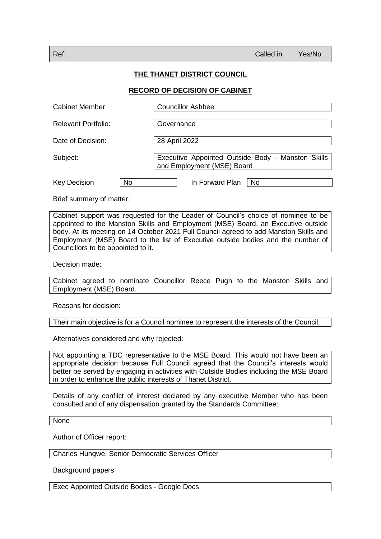## **THE THANET DISTRICT COUNCIL**

## **RECORD OF DECISION OF CABINET**

| <b>Cabinet Member</b>            | <b>Councillor Ashbee</b>                                                        |
|----------------------------------|---------------------------------------------------------------------------------|
| Relevant Portfolio:              | Governance                                                                      |
| Date of Decision:                | 28 April 2022                                                                   |
| Subject:                         | Executive Appointed Outside Body - Manston Skills<br>and Employment (MSE) Board |
| <b>No</b><br><b>Key Decision</b> | In Forward Plan<br><b>No</b>                                                    |

Brief summary of matter:

Cabinet support was requested for the Leader of Council's choice of nominee to be appointed to the Manston Skills and Employment (MSE) Board, an Executive outside body. At its meeting on 14 October 2021 Full Council agreed to add Manston Skills and Employment (MSE) Board to the list of Executive outside bodies and the number of Councillors to be appointed to it.

Decision made:

Cabinet agreed to nominate Councillor Reece Pugh to the Manston Skills and Employment (MSE) Board.

Reasons for decision:

Their main objective is for a Council nominee to represent the interests of the Council.

Alternatives considered and why rejected:

Not appointing a TDC representative to the MSE Board. This would not have been an appropriate decision because Full Council agreed that the Council's interests would better be served by engaging in activities with Outside Bodies including the MSE Board in order to enhance the public interests of Thanet District.

Details of any conflict of interest declared by any executive Member who has been consulted and of any dispensation granted by the Standards Committee:

None

Author of Officer report:

Charles Hungwe, Senior Democratic Services Officer

Background papers

Exec Appointed Outside Bodies - Google Docs